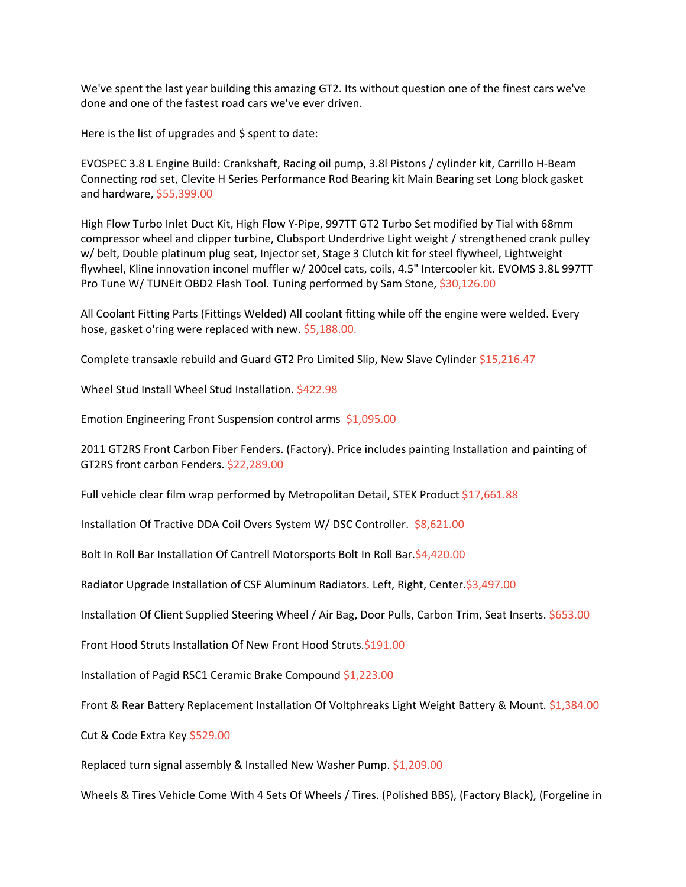We've spent the last year building this amazing GT2. Its without question one of the finest cars we've done and one of the fastest road cars we've ever driven.

Here is the list of upgrades and  $\frac{1}{2}$  spent to date:

EVOSPEC 3.8 L Engine Build: Crankshaft, Racing oil pump, 3.8l Pistons / cylinder kit, Carrillo H-Beam Connecting rod set, Clevite H Series Performance Rod Bearing kit Main Bearing set Long block gasket and hardware, \$55,399.00

High Flow Turbo Inlet Duct Kit, High Flow Y-Pipe, 997TT GT2 Turbo Set modified by Tial with 68mm compressor wheel and clipper turbine, Clubsport Underdrive Light weight / strengthened crank pulley w/ belt, Double platinum plug seat, Injector set, Stage 3 Clutch kit for steel flywheel, Lightweight flywheel, Kline innovation inconel muffler w/ 200cel cats, coils, 4.5" Intercooler kit. EVOMS 3.8L 997TT Pro Tune W/ TUNEit OBD2 Flash Tool. Tuning performed by Sam Stone, \$30,126.00

All Coolant Fitting Parts (Fittings Welded) All coolant fitting while off the engine were welded. Every hose, gasket o'ring were replaced with new. \$5,188.00.

Complete transaxle rebuild and Guard GT2 Pro Limited Slip, New Slave Cylinder \$15,216.47

Wheel Stud Install Wheel Stud Installation. \$422.98

Emotion Engineering Front Suspension control arms \$1,095.00

2011 GT2RS Front Carbon Fiber Fenders. (Factory). Price includes painting Installation and painting of GT2RS front carbon Fenders. \$22,289.00

Full vehicle clear film wrap performed by Metropolitan Detail, STEK Product \$17,661.88

Installation Of Tractive DDA Coil Overs System W/ DSC Controller. \$8,621.00

Bolt In Roll Bar Installation Of Cantrell Motorsports Bolt In Roll Bar.\$4,420.00

Radiator Upgrade Installation of CSF Aluminum Radiators. Left, Right, Center.\$3,497.00

Installation Of Client Supplied Steering Wheel / Air Bag, Door Pulls, Carbon Trim, Seat Inserts. \$653.00

Front Hood Struts Installation Of New Front Hood Struts.\$191.00

Installation of Pagid RSC1 Ceramic Brake Compound \$1,223.00

Front & Rear Battery Replacement Installation Of Voltphreaks Light Weight Battery & Mount. \$1,384.00

Cut & Code Extra Key \$529.00

Replaced turn signal assembly & Installed New Washer Pump. \$1,209.00

Wheels & Tires Vehicle Come With 4 Sets Of Wheels / Tires. (Polished BBS), (Factory Black), (Forgeline in